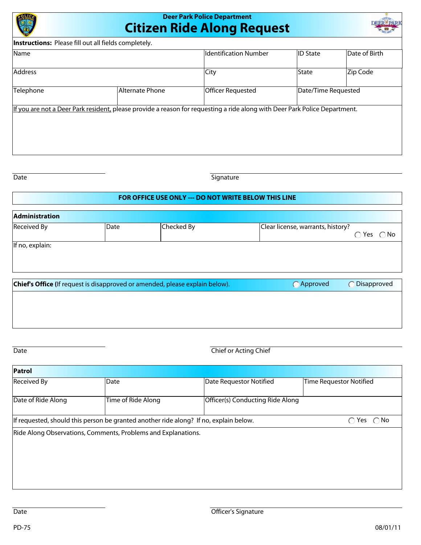

# **Deer Park Police Department Citizen Ride Along Request**



| <b>Instructions:</b> Please fill out all fields completely. |                   |                              |                                                                                                                            |
|-------------------------------------------------------------|-------------------|------------------------------|----------------------------------------------------------------------------------------------------------------------------|
| Name                                                        |                   | <b>ID</b> State              | Date of Birth                                                                                                              |
|                                                             | City              | <b>State</b>                 | Zip Code                                                                                                                   |
| lAlternate Phone                                            | Officer Requested | Date/Time Requested          |                                                                                                                            |
|                                                             |                   |                              |                                                                                                                            |
|                                                             |                   |                              |                                                                                                                            |
|                                                             |                   |                              |                                                                                                                            |
|                                                             |                   | <b>Identification Number</b> | If you are not a Deer Park resident, please provide a reason for requesting a ride along with Deer Park Police Department. |

Date Signature

### **FOR OFFICE USE ONLY --- DO NOT WRITE BELOW THIS LINE**

| Administration                                                               |      |            |                                   |                      |
|------------------------------------------------------------------------------|------|------------|-----------------------------------|----------------------|
| Received By                                                                  | Date | Checked By | Clear license, warrants, history? |                      |
|                                                                              |      |            |                                   | $\bigcirc$ No<br>Yes |
| If no, explain:                                                              |      |            |                                   |                      |
|                                                                              |      |            |                                   |                      |
|                                                                              |      |            |                                   |                      |
|                                                                              |      |            |                                   |                      |
| Chief's Office (If request is disapproved or amended, please explain below). |      |            | <b>Approved</b>                   | ODisapproved         |
|                                                                              |      |            |                                   |                      |
|                                                                              |      |            |                                   |                      |
|                                                                              |      |            |                                   |                      |
|                                                                              |      |            |                                   |                      |

### Date Chief or Acting Chief

| Patrol                                                                                                    |                                                               |                                  |                         |  |
|-----------------------------------------------------------------------------------------------------------|---------------------------------------------------------------|----------------------------------|-------------------------|--|
| Received By                                                                                               | Date                                                          | Date Requestor Notified          | Time Requestor Notified |  |
| Date of Ride Along                                                                                        | Time of Ride Along                                            | Officer(s) Conducting Ride Along |                         |  |
| Yes $\bigcap$ No<br>If requested, should this person be granted another ride along? If no, explain below. |                                                               |                                  |                         |  |
|                                                                                                           | Ride Along Observations, Comments, Problems and Explanations. |                                  |                         |  |